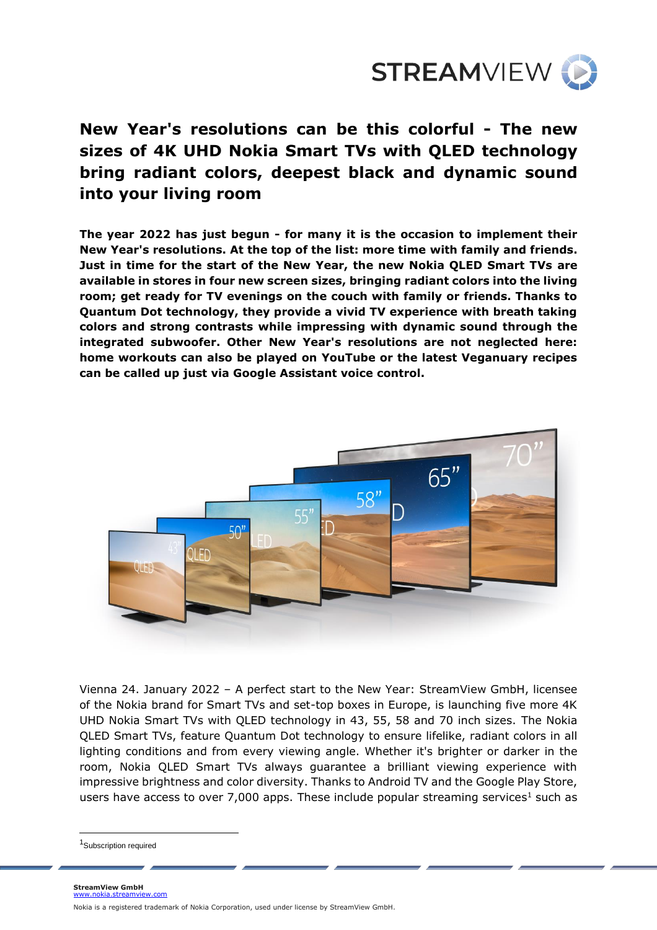

# **New Year's resolutions can be this colorful - The new sizes of 4K UHD Nokia Smart TVs with QLED technology bring radiant colors, deepest black and dynamic sound into your living room**

**The year 2022 has just begun - for many it is the occasion to implement their New Year's resolutions. At the top of the list: more time with family and friends. Just in time for the start of the New Year, the new Nokia QLED Smart TVs are available in stores in four new screen sizes, bringing radiant colors into the living room; get ready for TV evenings on the couch with family or friends. Thanks to Quantum Dot technology, they provide a vivid TV experience with breath taking colors and strong contrasts while impressing with dynamic sound through the integrated subwoofer. Other New Year's resolutions are not neglected here: home workouts can also be played on YouTube or the latest Veganuary recipes can be called up just via Google Assistant voice control.**



Vienna 24. January 2022 – A perfect start to the New Year: StreamView GmbH, licensee of the Nokia brand for Smart TVs and set-top boxes in Europe, is launching five more 4K UHD Nokia Smart TVs with QLED technology in 43, 55, 58 and 70 inch sizes. The Nokia QLED Smart TVs, feature Quantum Dot technology to ensure lifelike, radiant colors in all lighting conditions and from every viewing angle. Whether it's brighter or darker in the room, Nokia QLED Smart TVs always guarantee a brilliant viewing experience with impressive brightness and color diversity. Thanks to Android TV and the Google Play Store, users have access to over 7,000 apps. These include popular streaming services<sup>1</sup> such as

<sup>&</sup>lt;sup>1</sup>Subscription required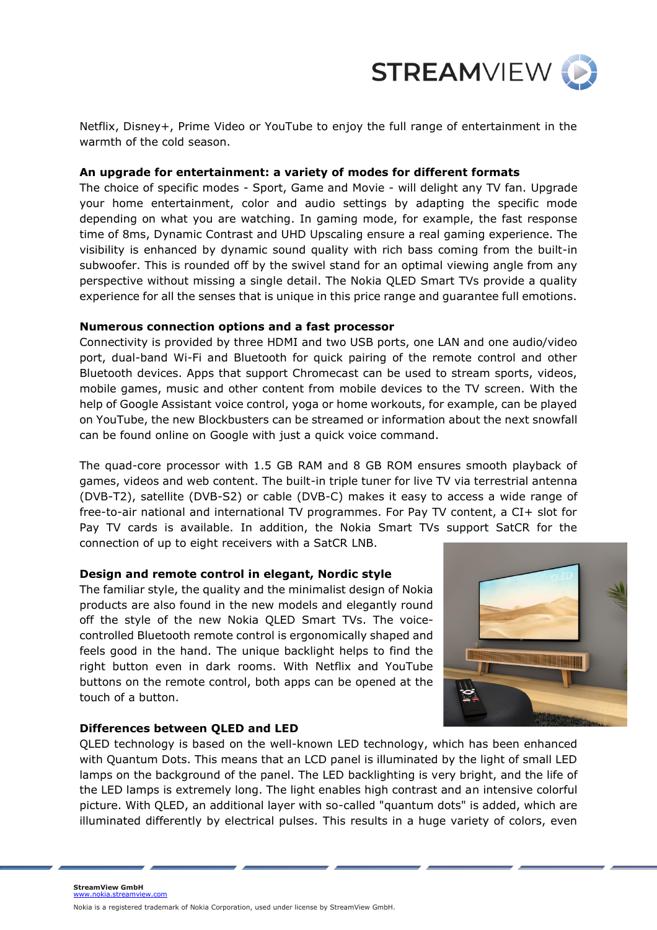

Netflix, Disney+, Prime Video or YouTube to enjoy the full range of entertainment in the warmth of the cold season.

#### **An upgrade for entertainment: a variety of modes for different formats**

The choice of specific modes - Sport, Game and Movie - will delight any TV fan. Upgrade your home entertainment, color and audio settings by adapting the specific mode depending on what you are watching. In gaming mode, for example, the fast response time of 8ms, Dynamic Contrast and UHD Upscaling ensure a real gaming experience. The visibility is enhanced by dynamic sound quality with rich bass coming from the built-in subwoofer. This is rounded off by the swivel stand for an optimal viewing angle from any perspective without missing a single detail. The Nokia QLED Smart TVs provide a quality experience for all the senses that is unique in this price range and guarantee full emotions.

## **Numerous connection options and a fast processor**

Connectivity is provided by three HDMI and two USB ports, one LAN and one audio/video port, dual-band Wi-Fi and Bluetooth for quick pairing of the remote control and other Bluetooth devices. Apps that support Chromecast can be used to stream sports, videos, mobile games, music and other content from mobile devices to the TV screen. With the help of Google Assistant voice control, yoga or home workouts, for example, can be played on YouTube, the new Blockbusters can be streamed or information about the next snowfall can be found online on Google with just a quick voice command.

The quad-core processor with 1.5 GB RAM and 8 GB ROM ensures smooth playback of games, videos and web content. The built-in triple tuner for live TV via terrestrial antenna (DVB-T2), satellite (DVB-S2) or cable (DVB-C) makes it easy to access a wide range of free-to-air national and international TV programmes. For Pay TV content, a CI+ slot for Pay TV cards is available. In addition, the Nokia Smart TVs support SatCR for the connection of up to eight receivers with a SatCR LNB.

# **Design and remote control in elegant, Nordic style**

The familiar style, the quality and the minimalist design of Nokia products are also found in the new models and elegantly round off the style of the new Nokia QLED Smart TVs. The voicecontrolled Bluetooth remote control is ergonomically shaped and feels good in the hand. The unique backlight helps to find the right button even in dark rooms. With Netflix and YouTube buttons on the remote control, both apps can be opened at the touch of a button.



# **Differences between QLED and LED**

QLED technology is based on the well-known LED technology, which has been enhanced with Quantum Dots. This means that an LCD panel is illuminated by the light of small LED lamps on the background of the panel. The LED backlighting is very bright, and the life of the LED lamps is extremely long. The light enables high contrast and an intensive colorful picture. With QLED, an additional layer with so-called "quantum dots" is added, which are illuminated differently by electrical pulses. This results in a huge variety of colors, even